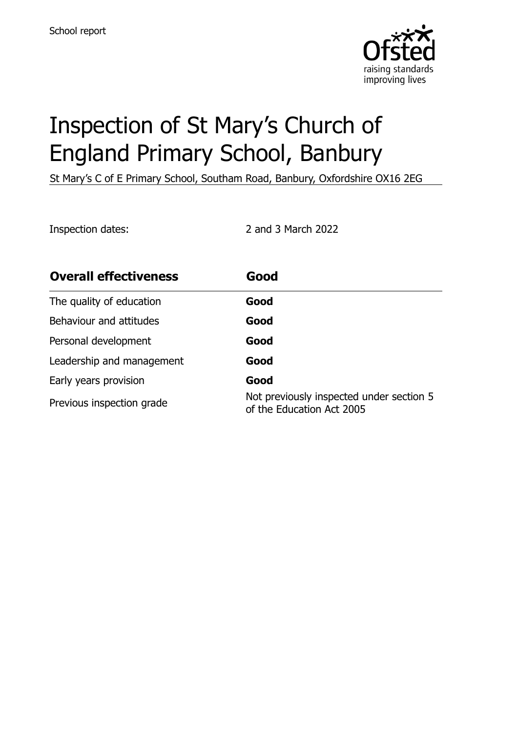

# Inspection of St Mary's Church of England Primary School, Banbury

St Mary's C of E Primary School, Southam Road, Banbury, Oxfordshire OX16 2EG

Inspection dates: 2 and 3 March 2022

| <b>Overall effectiveness</b> | Good                                                                  |
|------------------------------|-----------------------------------------------------------------------|
| The quality of education     | Good                                                                  |
| Behaviour and attitudes      | Good                                                                  |
| Personal development         | Good                                                                  |
| Leadership and management    | Good                                                                  |
| Early years provision        | Good                                                                  |
| Previous inspection grade    | Not previously inspected under section 5<br>of the Education Act 2005 |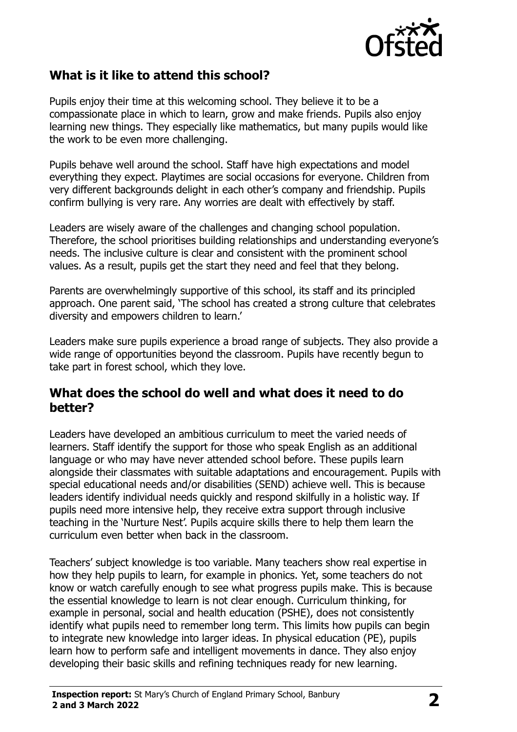

## **What is it like to attend this school?**

Pupils enjoy their time at this welcoming school. They believe it to be a compassionate place in which to learn, grow and make friends. Pupils also enjoy learning new things. They especially like mathematics, but many pupils would like the work to be even more challenging.

Pupils behave well around the school. Staff have high expectations and model everything they expect. Playtimes are social occasions for everyone. Children from very different backgrounds delight in each other's company and friendship. Pupils confirm bullying is very rare. Any worries are dealt with effectively by staff.

Leaders are wisely aware of the challenges and changing school population. Therefore, the school prioritises building relationships and understanding everyone's needs. The inclusive culture is clear and consistent with the prominent school values. As a result, pupils get the start they need and feel that they belong.

Parents are overwhelmingly supportive of this school, its staff and its principled approach. One parent said, 'The school has created a strong culture that celebrates diversity and empowers children to learn.'

Leaders make sure pupils experience a broad range of subjects. They also provide a wide range of opportunities beyond the classroom. Pupils have recently begun to take part in forest school, which they love.

#### **What does the school do well and what does it need to do better?**

Leaders have developed an ambitious curriculum to meet the varied needs of learners. Staff identify the support for those who speak English as an additional language or who may have never attended school before. These pupils learn alongside their classmates with suitable adaptations and encouragement. Pupils with special educational needs and/or disabilities (SEND) achieve well. This is because leaders identify individual needs quickly and respond skilfully in a holistic way. If pupils need more intensive help, they receive extra support through inclusive teaching in the 'Nurture Nest'. Pupils acquire skills there to help them learn the curriculum even better when back in the classroom.

Teachers' subject knowledge is too variable. Many teachers show real expertise in how they help pupils to learn, for example in phonics. Yet, some teachers do not know or watch carefully enough to see what progress pupils make. This is because the essential knowledge to learn is not clear enough. Curriculum thinking, for example in personal, social and health education (PSHE), does not consistently identify what pupils need to remember long term. This limits how pupils can begin to integrate new knowledge into larger ideas. In physical education (PE), pupils learn how to perform safe and intelligent movements in dance. They also enjoy developing their basic skills and refining techniques ready for new learning.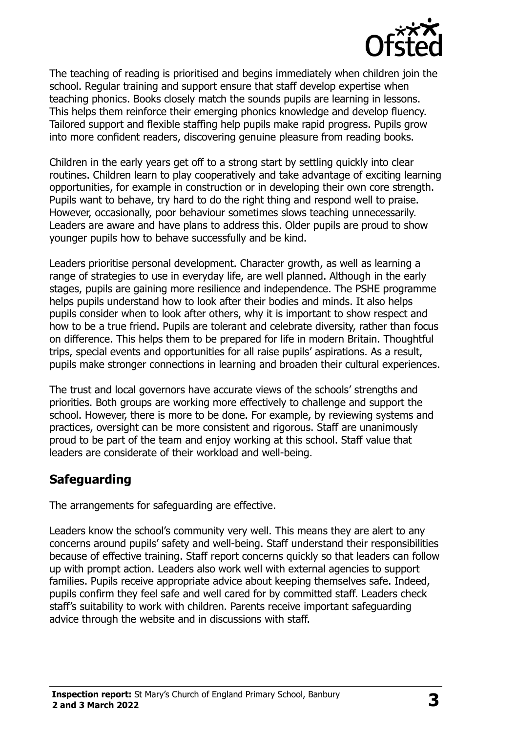

The teaching of reading is prioritised and begins immediately when children join the school. Regular training and support ensure that staff develop expertise when teaching phonics. Books closely match the sounds pupils are learning in lessons. This helps them reinforce their emerging phonics knowledge and develop fluency. Tailored support and flexible staffing help pupils make rapid progress. Pupils grow into more confident readers, discovering genuine pleasure from reading books.

Children in the early years get off to a strong start by settling quickly into clear routines. Children learn to play cooperatively and take advantage of exciting learning opportunities, for example in construction or in developing their own core strength. Pupils want to behave, try hard to do the right thing and respond well to praise. However, occasionally, poor behaviour sometimes slows teaching unnecessarily. Leaders are aware and have plans to address this. Older pupils are proud to show younger pupils how to behave successfully and be kind.

Leaders prioritise personal development. Character growth, as well as learning a range of strategies to use in everyday life, are well planned. Although in the early stages, pupils are gaining more resilience and independence. The PSHE programme helps pupils understand how to look after their bodies and minds. It also helps pupils consider when to look after others, why it is important to show respect and how to be a true friend. Pupils are tolerant and celebrate diversity, rather than focus on difference. This helps them to be prepared for life in modern Britain. Thoughtful trips, special events and opportunities for all raise pupils' aspirations. As a result, pupils make stronger connections in learning and broaden their cultural experiences.

The trust and local governors have accurate views of the schools' strengths and priorities. Both groups are working more effectively to challenge and support the school. However, there is more to be done. For example, by reviewing systems and practices, oversight can be more consistent and rigorous. Staff are unanimously proud to be part of the team and enjoy working at this school. Staff value that leaders are considerate of their workload and well-being.

## **Safeguarding**

The arrangements for safeguarding are effective.

Leaders know the school's community very well. This means they are alert to any concerns around pupils' safety and well-being. Staff understand their responsibilities because of effective training. Staff report concerns quickly so that leaders can follow up with prompt action. Leaders also work well with external agencies to support families. Pupils receive appropriate advice about keeping themselves safe. Indeed, pupils confirm they feel safe and well cared for by committed staff. Leaders check staff's suitability to work with children. Parents receive important safeguarding advice through the website and in discussions with staff.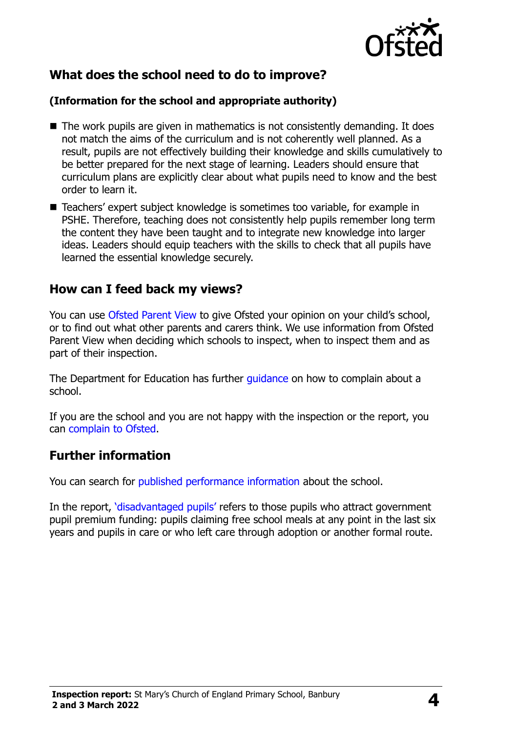

## **What does the school need to do to improve?**

#### **(Information for the school and appropriate authority)**

- $\blacksquare$  The work pupils are given in mathematics is not consistently demanding. It does not match the aims of the curriculum and is not coherently well planned. As a result, pupils are not effectively building their knowledge and skills cumulatively to be better prepared for the next stage of learning. Leaders should ensure that curriculum plans are explicitly clear about what pupils need to know and the best order to learn it.
- Teachers' expert subject knowledge is sometimes too variable, for example in PSHE. Therefore, teaching does not consistently help pupils remember long term the content they have been taught and to integrate new knowledge into larger ideas. Leaders should equip teachers with the skills to check that all pupils have learned the essential knowledge securely.

### **How can I feed back my views?**

You can use [Ofsted Parent View](http://parentview.ofsted.gov.uk/) to give Ofsted your opinion on your child's school, or to find out what other parents and carers think. We use information from Ofsted Parent View when deciding which schools to inspect, when to inspect them and as part of their inspection.

The Department for Education has further quidance on how to complain about a school.

If you are the school and you are not happy with the inspection or the report, you can [complain to Ofsted.](http://www.gov.uk/complain-ofsted-report)

### **Further information**

You can search for [published performance information](http://www.compare-school-performance.service.gov.uk/) about the school.

In the report, '[disadvantaged pupils](http://www.gov.uk/guidance/pupil-premium-information-for-schools-and-alternative-provision-settings)' refers to those pupils who attract government pupil premium funding: pupils claiming free school meals at any point in the last six years and pupils in care or who left care through adoption or another formal route.

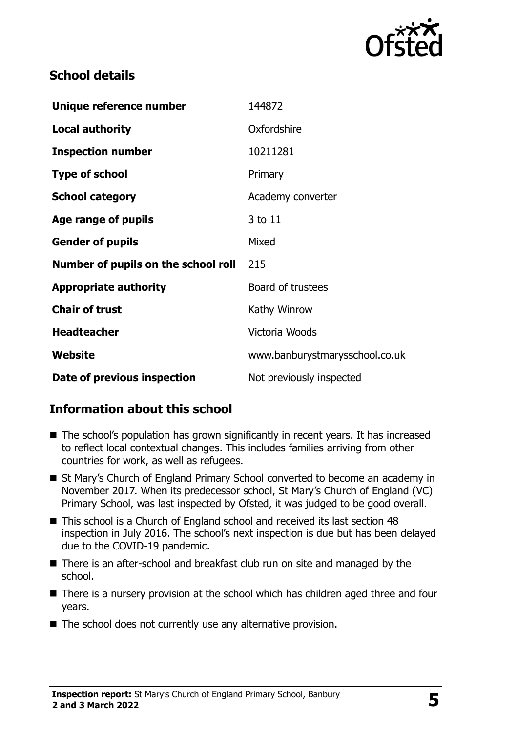

## **School details**

| Unique reference number             | 144872                         |
|-------------------------------------|--------------------------------|
| <b>Local authority</b>              | Oxfordshire                    |
| <b>Inspection number</b>            | 10211281                       |
| <b>Type of school</b>               | Primary                        |
| <b>School category</b>              | Academy converter              |
| Age range of pupils                 | 3 to 11                        |
| <b>Gender of pupils</b>             | Mixed                          |
| Number of pupils on the school roll | 215                            |
| <b>Appropriate authority</b>        | Board of trustees              |
| <b>Chair of trust</b>               | Kathy Winrow                   |
| <b>Headteacher</b>                  | Victoria Woods                 |
| Website                             | www.banburystmarysschool.co.uk |
| Date of previous inspection         | Not previously inspected       |

## **Information about this school**

- The school's population has grown significantly in recent years. It has increased to reflect local contextual changes. This includes families arriving from other countries for work, as well as refugees.
- St Mary's Church of England Primary School converted to become an academy in November 2017. When its predecessor school, St Mary's Church of England (VC) Primary School, was last inspected by Ofsted, it was judged to be good overall.
- This school is a Church of England school and received its last section 48 inspection in July 2016. The school's next inspection is due but has been delayed due to the COVID-19 pandemic.
- There is an after-school and breakfast club run on site and managed by the school.
- There is a nursery provision at the school which has children aged three and four years.
- The school does not currently use any alternative provision.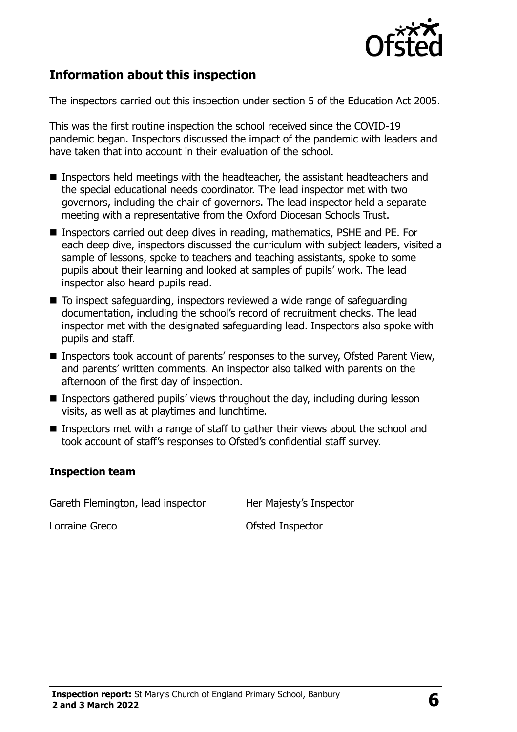

## **Information about this inspection**

The inspectors carried out this inspection under section 5 of the Education Act 2005.

This was the first routine inspection the school received since the COVID-19 pandemic began. Inspectors discussed the impact of the pandemic with leaders and have taken that into account in their evaluation of the school.

- **Inspectors held meetings with the headteacher, the assistant headteachers and** the special educational needs coordinator. The lead inspector met with two governors, including the chair of governors. The lead inspector held a separate meeting with a representative from the Oxford Diocesan Schools Trust.
- Inspectors carried out deep dives in reading, mathematics, PSHE and PE. For each deep dive, inspectors discussed the curriculum with subject leaders, visited a sample of lessons, spoke to teachers and teaching assistants, spoke to some pupils about their learning and looked at samples of pupils' work. The lead inspector also heard pupils read.
- To inspect safeguarding, inspectors reviewed a wide range of safeguarding documentation, including the school's record of recruitment checks. The lead inspector met with the designated safeguarding lead. Inspectors also spoke with pupils and staff.
- Inspectors took account of parents' responses to the survey, Ofsted Parent View, and parents' written comments. An inspector also talked with parents on the afternoon of the first day of inspection.
- Inspectors gathered pupils' views throughout the day, including during lesson visits, as well as at playtimes and lunchtime.
- Inspectors met with a range of staff to gather their views about the school and took account of staff's responses to Ofsted's confidential staff survey.

#### **Inspection team**

Gareth Flemington, lead inspector Her Majesty's Inspector

Lorraine Greco **Calculation** Contraine Greco **Calculation** Ofsted Inspector